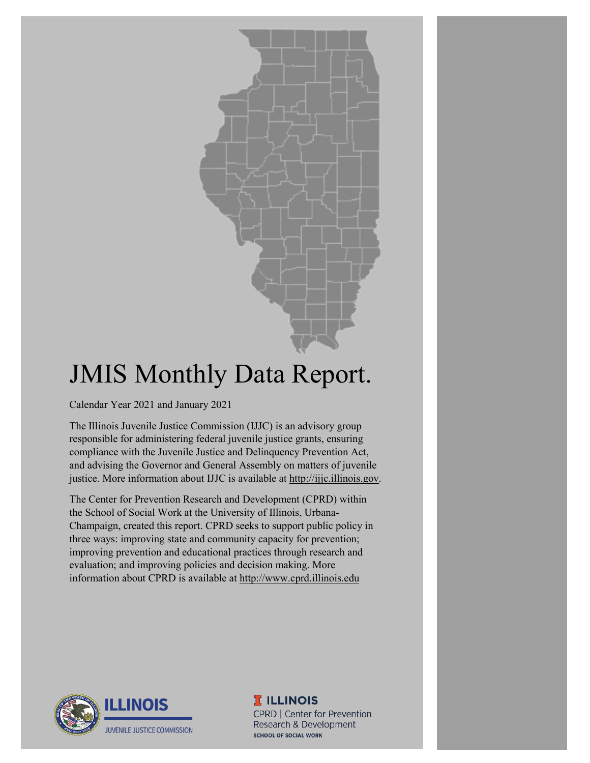# JMIS Monthly Data Report.

Calendar Year 2021 and January 2021

The Illinois Juvenile Justice Commission (IJJC) is an advisory group responsible for administering federal juvenile justice grants, ensuring compliance with the Juvenile Justice and Delinquency Prevention Act, and advising the Governor and General Assembly on matters of juvenile justice. More information about IJJC is available at [http://ijjc.illinois.gov.](http://ijjc.illinois.gov/)

The Center for Prevention Research and Development (CPRD) within the School of Social Work at the University of Illinois, Urbana-Champaign, created this report. CPRD seeks to support public policy in three ways: improving state and community capacity for prevention; improving prevention and educational practices through research and evaluation; and improving policies and decision making. More information about CPRD is available at [http://www.cprd.illinois.edu](http://www.cprd.illinois.edu/)



**T ILLINOIS** CPRD | Center for Prevention Research & Development **SCHOOL OF SOCIAL WORK**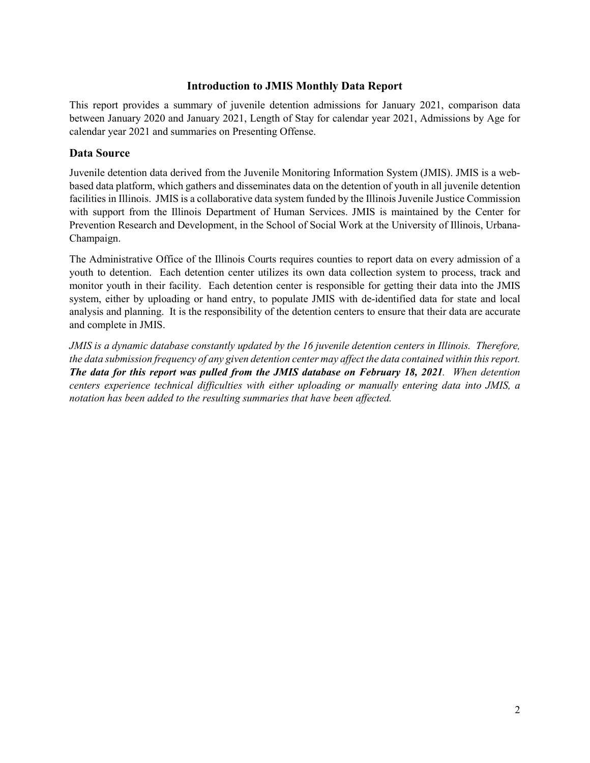#### **Introduction to JMIS Monthly Data Report**

This report provides a summary of juvenile detention admissions for January 2021, comparison data between January 2020 and January 2021, Length of Stay for calendar year 2021, Admissions by Age for calendar year 2021 and summaries on Presenting Offense.

#### **Data Source**

Juvenile detention data derived from the Juvenile Monitoring Information System (JMIS). JMIS is a webbased data platform, which gathers and disseminates data on the detention of youth in all juvenile detention facilities in Illinois. JMIS is a collaborative data system funded by the Illinois Juvenile Justice Commission with support from the Illinois Department of Human Services. JMIS is maintained by the Center for Prevention Research and Development, in the School of Social Work at the University of Illinois, Urbana-Champaign.

The Administrative Office of the Illinois Courts requires counties to report data on every admission of a youth to detention. Each detention center utilizes its own data collection system to process, track and monitor youth in their facility. Each detention center is responsible for getting their data into the JMIS system, either by uploading or hand entry, to populate JMIS with de-identified data for state and local analysis and planning. It is the responsibility of the detention centers to ensure that their data are accurate and complete in JMIS.

*JMIS is a dynamic database constantly updated by the 16 juvenile detention centers in Illinois. Therefore, the data submission frequency of any given detention center may affect the data contained within this report. The data for this report was pulled from the JMIS database on February 18, 2021. When detention centers experience technical difficulties with either uploading or manually entering data into JMIS, a notation has been added to the resulting summaries that have been affected.*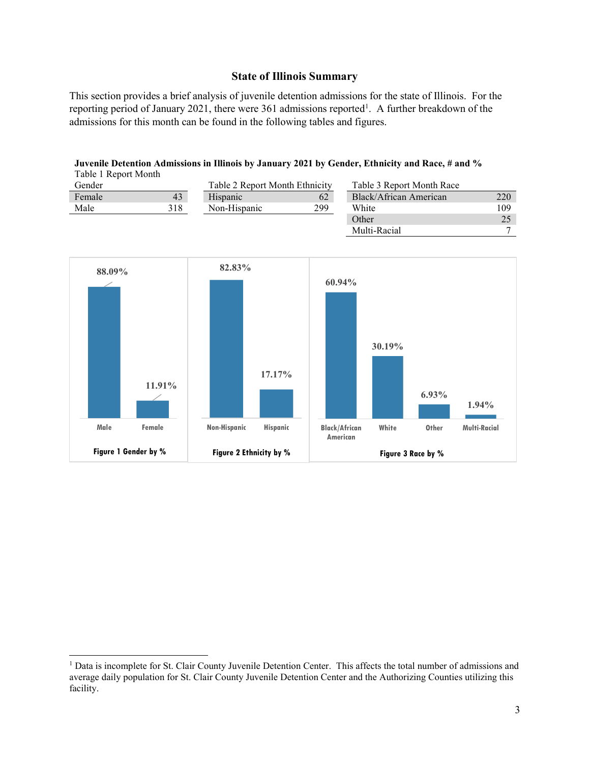#### **State of Illinois Summary**

This section provides a brief analysis of juvenile detention admissions for the state of Illinois. For the reporting period of January 202[1](#page-2-0), there were 361 admissions reported<sup>1</sup>. A further breakdown of the admissions for this month can be found in the following tables and figures.

| <b>TAUR 1 Report MOMM</b> |     |                                |     |                           |     |
|---------------------------|-----|--------------------------------|-----|---------------------------|-----|
| Gender                    |     | Table 2 Report Month Ethnicity |     | Table 3 Report Month Race |     |
| Female                    | 43  | Hispanic                       | 62  | Black/African American    | 220 |
| Male                      | 318 | Non-Hispanic                   | 299 | White                     | 109 |
|                           |     |                                |     | Other                     |     |
|                           |     |                                |     | Multi-Racial              |     |

**Juvenile Detention Admissions in Illinois by January 2021 by Gender, Ethnicity and Race, # and %** Table 1 Report Month



<span id="page-2-0"></span><sup>&</sup>lt;sup>1</sup> Data is incomplete for St. Clair County Juvenile Detention Center. This affects the total number of admissions and average daily population for St. Clair County Juvenile Detention Center and the Authorizing Counties utilizing this facility.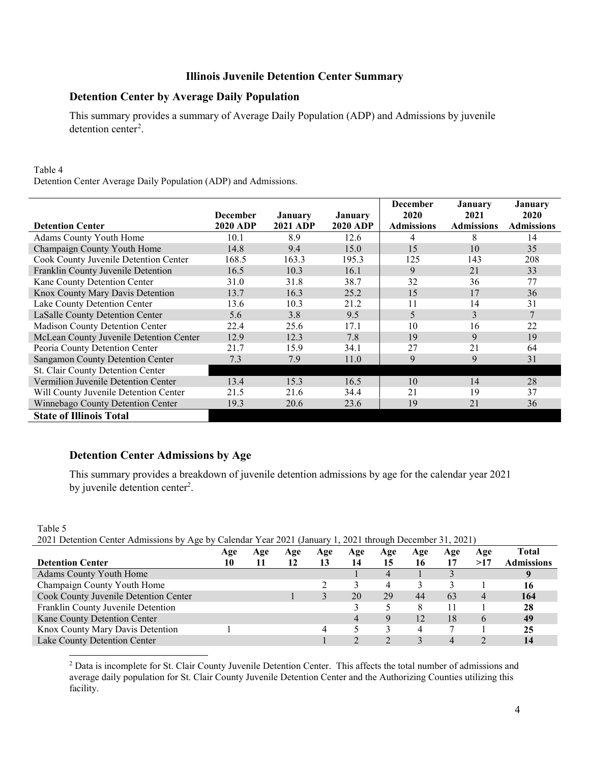# **Illinois Juvenile Detention Center Summary**

#### **Detention Center by Average Daily Population**

This summary provides a summary of Average Daily Population (ADP) and Admissions by juvenile detention center<sup>[2](#page-3-0)</sup>.

#### Table 4

Detention Center Average Daily Population (ADP) and Admissions.

|                                         |                 |                 |                | <b>December</b> | <b>January</b>    | January           |
|-----------------------------------------|-----------------|-----------------|----------------|-----------------|-------------------|-------------------|
|                                         | <b>December</b> | January         | <b>January</b> | 2020            | 2021              | <b>2020</b>       |
| <b>Detention Center</b>                 | <b>2020 ADP</b> | <b>2021 ADP</b> | 2020 ADP       | Admissions      | <b>Admissions</b> | <b>Admissions</b> |
| Adams County Youth Home                 | 10.1            | 8.9             | 12.6           | 4               | 8                 | 14                |
| Champaign County Youth Home             | 14.8            | 9.4             | 15.0           | 15              | 10                | 35                |
| Cook County Juvenile Detention Center   | 168.5           | 163.3           | 195.3          | 125             | 143               | 208               |
| Franklin County Juvenile Detention      | 16.5            | 10.3            | 16.1           | 9               | 21                | 33                |
| Kane County Detention Center            | 31.0            | 31.8            | 38.7           | 32              | 36                | 77                |
| Knox County Mary Davis Detention        | 13.7            | 16.3            | 25.2           | 15              | 17                | 36                |
| Lake County Detention Center            | 13.6            | 10.3            | 21.2           | 11              | 14                | 31                |
| LaSalle County Detention Center         | 5.6             | 3.8             | 9.5            | 5               | 3                 | 7                 |
| <b>Madison County Detention Center</b>  | 22.4            | 25.6            | 17.1           | 10              | 16                | 22                |
| McLean County Juvenile Detention Center | 12.9            | 12.3            | 7.8            | 19              | 9                 | 19                |
| Peoria County Detention Center          | 21.7            | 15.9            | 34.1           | 27              | 21                | 64                |
| Sangamon County Detention Center        | 7.3             | 7.9             | 11.0           | 9               | 9                 | 31                |
| St. Clair County Detention Center       |                 |                 |                |                 |                   |                   |
| Vermilion Juvenile Detention Center     | 13.4            | 15.3            | 16.5           | 10              | 14                | 28                |
| Will County Juvenile Detention Center   | 21.5            | 21.6            | 34.4           | 21              | 19                | 37                |
| Winnebago County Detention Center       | 19.3            | 20.6            | 23.6           | 19              | 21                | 36                |
| <b>State of Illinois Total</b>          |                 |                 |                |                 |                   |                   |

#### **Detention Center Admissions by Age**

This summary provides a breakdown of juvenile detention admissions by age for the calendar year 2021 by juvenile detention center<sup>2</sup>.

Table 5 2021 Detention Center Admissions by Age by Calendar Year 2021 (January 1, 2021 through December 31, 2021)

| 2021 Detention Center Admissions by Age by Carendar Tear 2021 (January 1, 2021 unough Detentioer 91, 2021) |            |     |     |     |     |             |     |     |     |                   |
|------------------------------------------------------------------------------------------------------------|------------|-----|-----|-----|-----|-------------|-----|-----|-----|-------------------|
|                                                                                                            | <b>Age</b> | Age | Age | Age | Age | Age         | Age | Age | Age | <b>Total</b>      |
| <b>Detention Center</b>                                                                                    | 10         | 11  |     | 13  | 14  | 15          | 16  |     | >17 | <b>Admissions</b> |
| <b>Adams County Youth Home</b>                                                                             |            |     |     |     |     | 4           |     |     |     |                   |
| Champaign County Youth Home                                                                                |            |     |     |     |     | 4           |     |     |     | 16                |
| Cook County Juvenile Detention Center                                                                      |            |     |     |     | 20  | 29          | 44  | 63  | 4   | 164               |
| Franklin County Juvenile Detention                                                                         |            |     |     |     |     |             |     |     |     | 28                |
| Kane County Detention Center                                                                               |            |     |     |     |     | $\mathbf Q$ | 12  | 18  | 6   | 49                |
| Knox County Mary Davis Detention                                                                           |            |     |     |     |     |             |     |     |     | 25                |
| Lake County Detention Center                                                                               |            |     |     |     |     |             |     | 4   |     | 14                |

<span id="page-3-0"></span><sup>2</sup> Data is incomplete for St. Clair County Juvenile Detention Center. This affects the total number of admissions and average daily population for St. Clair County Juvenile Detention Center and the Authorizing Counties utilizing this facility.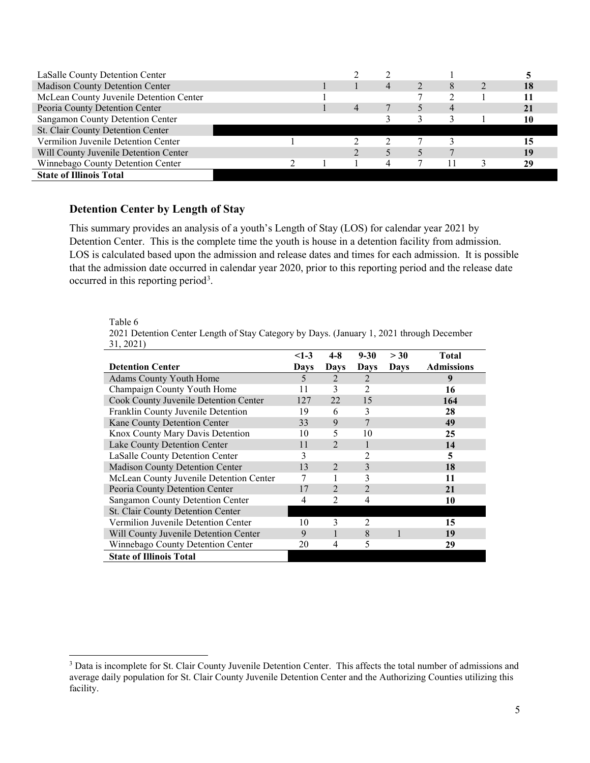| LaSalle County Detention Center         |  |  |   |  |    |
|-----------------------------------------|--|--|---|--|----|
| Madison County Detention Center         |  |  | 4 |  | 18 |
| McLean County Juvenile Detention Center |  |  |   |  |    |
| Peoria County Detention Center          |  |  |   |  | 21 |
| Sangamon County Detention Center        |  |  |   |  |    |
| St. Clair County Detention Center       |  |  |   |  |    |
| Vermilion Juvenile Detention Center     |  |  |   |  |    |
| Will County Juvenile Detention Center   |  |  |   |  | 19 |
| Winnebago County Detention Center       |  |  |   |  | 29 |
| <b>State of Illinois Total</b>          |  |  |   |  |    |

#### **Detention Center by Length of Stay**

This summary provides an analysis of a youth's Length of Stay (LOS) for calendar year 2021 by Detention Center. This is the complete time the youth is house in a detention facility from admission. LOS is calculated based upon the admission and release dates and times for each admission. It is possible that the admission date occurred in calendar year 2020, prior to this reporting period and the release date occurred in this reporting period<sup>[3](#page-4-0)</sup>.

#### Table 6

| 2021 Detention Center Length of Stay Category by Days. (January 1, 2021 through December |  |  |  |
|------------------------------------------------------------------------------------------|--|--|--|
| 31, 2021)                                                                                |  |  |  |

|                                         | $<$ 1-3     | 4-8            | $9 - 30$       | > 30        | <b>Total</b>      |
|-----------------------------------------|-------------|----------------|----------------|-------------|-------------------|
| <b>Detention Center</b>                 | <b>Days</b> | <b>Days</b>    | Days           | <b>Days</b> | <b>Admissions</b> |
| <b>Adams County Youth Home</b>          | 5           | 2              | 2              |             | 9                 |
| Champaign County Youth Home             | 11          | 3              | 2              |             | 16                |
| Cook County Juvenile Detention Center   | 127         | 22             | 15             |             | 164               |
| Franklin County Juvenile Detention      | 19          | 6              | 3              |             | 28                |
| Kane County Detention Center            | 33          | 9              | 7              |             | 49                |
| Knox County Mary Davis Detention        | 10          | 5              | 10             |             | 25                |
| Lake County Detention Center            | 11          | $\mathfrak{D}$ | 1              |             | 14                |
| LaSalle County Detention Center         | 3           |                | $\overline{2}$ |             | 5                 |
| Madison County Detention Center         | 13          | $\mathfrak{D}$ | 3              |             | 18                |
| McLean County Juvenile Detention Center | 7           |                | 3              |             | 11                |
| Peoria County Detention Center          | 17          | $\mathfrak{D}$ | $\mathfrak{D}$ |             | 21                |
| Sangamon County Detention Center        | 4           | 2              | 4              |             | 10                |
| St. Clair County Detention Center       |             |                |                |             |                   |
| Vermilion Juvenile Detention Center     | 10          | 3              | 2              |             | 15                |
| Will County Juvenile Detention Center   | 9           |                | 8              |             | 19                |
| Winnebago County Detention Center       | 20          | 4              | 5              |             | 29                |
| <b>State of Illinois Total</b>          |             |                |                |             |                   |

<span id="page-4-0"></span><sup>&</sup>lt;sup>3</sup> Data is incomplete for St. Clair County Juvenile Detention Center. This affects the total number of admissions and average daily population for St. Clair County Juvenile Detention Center and the Authorizing Counties utilizing this facility.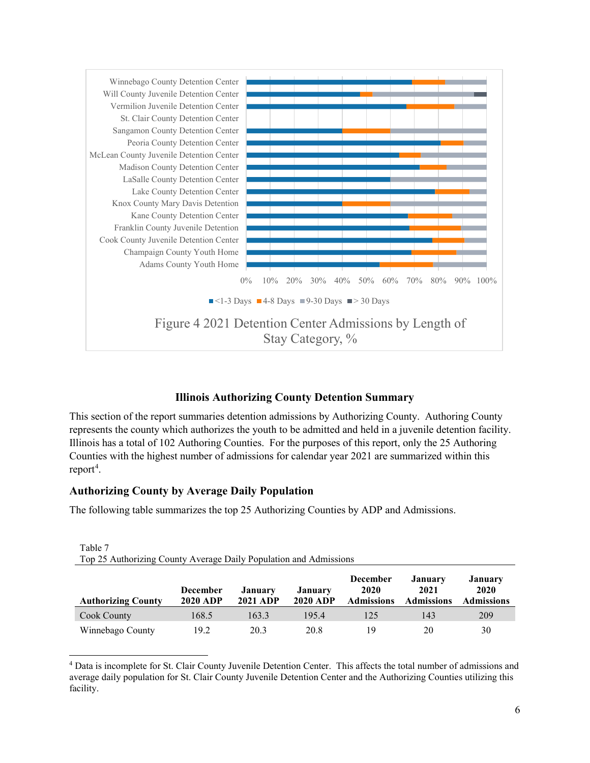

### **Illinois Authorizing County Detention Summary**

This section of the report summaries detention admissions by Authorizing County. Authoring County represents the county which authorizes the youth to be admitted and held in a juvenile detention facility. Illinois has a total of 102 Authoring Counties. For the purposes of this report, only the 25 Authoring Counties with the highest number of admissions for calendar year 2021 are summarized within this report<sup>[4](#page-5-0)</sup>.

### **Authorizing County by Average Daily Population**

The following table summarizes the top 25 Authorizing Counties by ADP and Admissions.

| <b>Authorizing County</b> | <b>December</b><br><b>2020 ADP</b> | <b>January</b><br><b>2021 ADP</b> | <b>January</b><br><b>2020 ADP</b> | <b>December</b><br>2020<br><b>Admissions</b> | January<br>2021<br>Admissions | <b>January</b><br>2020<br><b>Admissions</b> |
|---------------------------|------------------------------------|-----------------------------------|-----------------------------------|----------------------------------------------|-------------------------------|---------------------------------------------|
| Cook County               | 168.5                              | 163.3                             | 195.4                             | 125                                          | 143                           | 209                                         |
| Winnebago County          | 19.2                               | 20.3                              | 20.8                              | 19                                           | 20                            | 30                                          |

| Table 7                                                           |  |
|-------------------------------------------------------------------|--|
| Top 25 Authorizing County Average Daily Population and Admissions |  |

<span id="page-5-0"></span> 4 Data is incomplete for St. Clair County Juvenile Detention Center. This affects the total number of admissions and average daily population for St. Clair County Juvenile Detention Center and the Authorizing Counties utilizing this facility.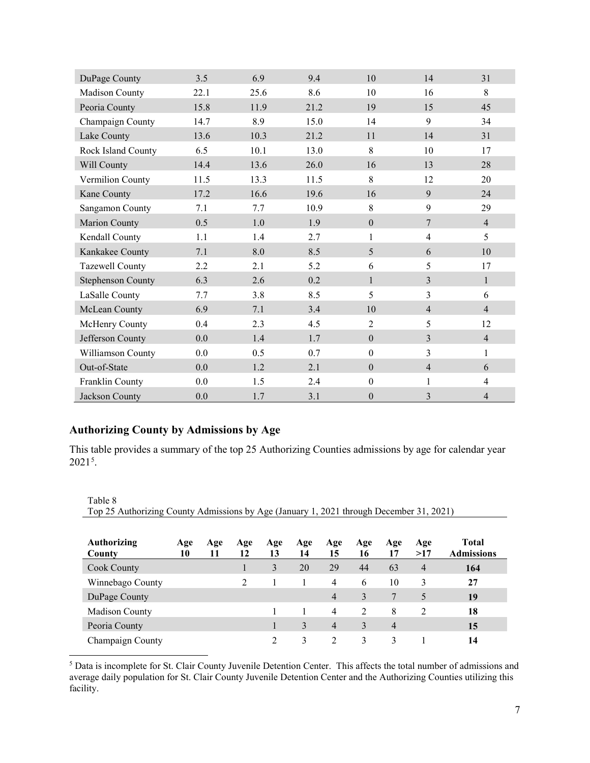| DuPage County        | 3.5  | 6.9  | 9.4  | 10               | 14             | 31             |
|----------------------|------|------|------|------------------|----------------|----------------|
| Madison County       | 22.1 | 25.6 | 8.6  | 10               | 16             | 8              |
| Peoria County        | 15.8 | 11.9 | 21.2 | 19               | 15             | 45             |
| Champaign County     | 14.7 | 8.9  | 15.0 | 14               | 9              | 34             |
| Lake County          | 13.6 | 10.3 | 21.2 | 11               | 14             | 31             |
| Rock Island County   | 6.5  | 10.1 | 13.0 | 8                | 10             | 17             |
| Will County          | 14.4 | 13.6 | 26.0 | 16               | 13             | 28             |
| Vermilion County     | 11.5 | 13.3 | 11.5 | 8                | 12             | 20             |
| Kane County          | 17.2 | 16.6 | 19.6 | 16               | 9              | 24             |
| Sangamon County      | 7.1  | 7.7  | 10.9 | 8                | 9              | 29             |
| <b>Marion County</b> | 0.5  | 1.0  | 1.9  | $\boldsymbol{0}$ | $\overline{7}$ | $\overline{4}$ |
| Kendall County       | 1.1  | 1.4  | 2.7  | $\mathbf{1}$     | $\overline{4}$ | 5              |
| Kankakee County      | 7.1  | 8.0  | 8.5  | 5                | 6              | 10             |
| Tazewell County      | 2.2  | 2.1  | 5.2  | 6                | 5              | 17             |
| Stephenson County    | 6.3  | 2.6  | 0.2  | $\mathbf{1}$     | $\overline{3}$ | $\mathbf{1}$   |
| LaSalle County       | 7.7  | 3.8  | 8.5  | 5                | $\overline{3}$ | 6              |
| McLean County        | 6.9  | 7.1  | 3.4  | 10               | $\overline{4}$ | $\overline{4}$ |
| McHenry County       | 0.4  | 2.3  | 4.5  | $\overline{2}$   | 5              | 12             |
| Jefferson County     | 0.0  | 1.4  | 1.7  | $\boldsymbol{0}$ | $\overline{3}$ | $\overline{4}$ |
| Williamson County    | 0.0  | 0.5  | 0.7  | $\boldsymbol{0}$ | $\overline{3}$ | 1              |
| Out-of-State         | 0.0  | 1.2  | 2.1  | $\theta$         | $\overline{4}$ | 6              |
| Franklin County      | 0.0  | 1.5  | 2.4  | $\mathbf{0}$     | 1              | $\overline{4}$ |
| Jackson County       | 0.0  | 1.7  | 3.1  | $\boldsymbol{0}$ | $\overline{3}$ | $\overline{4}$ |

## **Authorizing County by Admissions by Age**

This table provides a summary of the top 25 Authorizing Counties admissions by age for calendar year  $2021^5$  $2021^5$ .

| Table 8                                                                                 |
|-----------------------------------------------------------------------------------------|
| Top 25 Authorizing County Admissions by Age (January 1, 2021 through December 31, 2021) |
|                                                                                         |

| Authorizing<br>County | Age<br>10 | Age<br>11 | Age<br>12      | Age<br>13                   | Age<br>14     | Age<br>15      | Age<br>16     | Age<br>17      | Age<br>>17     | <b>Total</b><br><b>Admissions</b> |
|-----------------------|-----------|-----------|----------------|-----------------------------|---------------|----------------|---------------|----------------|----------------|-----------------------------------|
| Cook County           |           |           | $\perp$        | 3                           | 20            | 29             | 44            | 63             | $\overline{4}$ | 164                               |
| Winnebago County      |           |           | $\mathfrak{D}$ |                             |               | $\overline{4}$ | 6             | 10             | 3              | 27                                |
| DuPage County         |           |           |                |                             |               | 4              | 3             |                | 5              | 19                                |
| Madison County        |           |           |                |                             |               | $\overline{4}$ | $\mathcal{D}$ | 8              | $\mathcal{L}$  | 18                                |
| Peoria County         |           |           |                |                             | $\mathcal{E}$ | $\overline{4}$ | 3             | $\overline{4}$ |                | 15                                |
| Champaign County      |           |           |                | $\mathcal{D}_{\mathcal{L}}$ | 3             | 2              | 3             | 3              |                | 14                                |

<span id="page-6-0"></span><sup>5</sup> Data is incomplete for St. Clair County Juvenile Detention Center. This affects the total number of admissions and average daily population for St. Clair County Juvenile Detention Center and the Authorizing Counties utilizing this facility.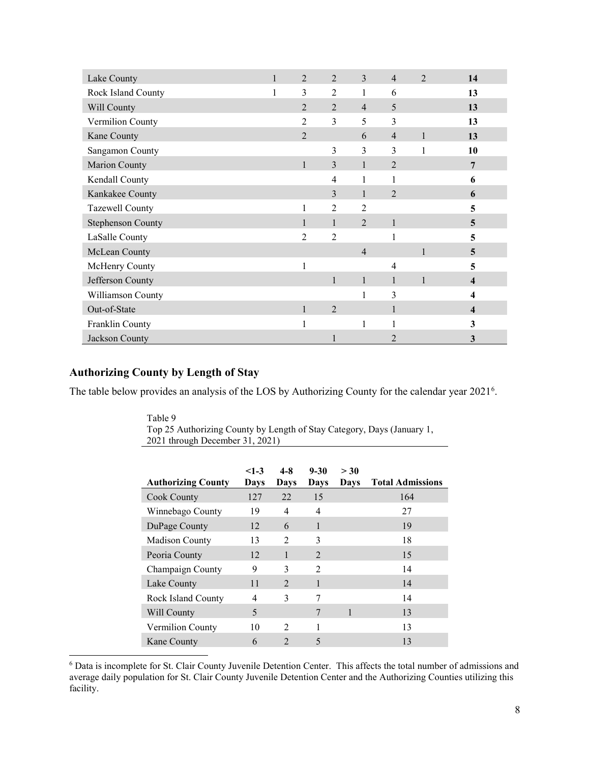| Lake County              | $\mathbf{1}$ | $\overline{2}$ | $\overline{2}$ | 3              | $\overline{4}$ | $\mathfrak{D}$ | 14 |
|--------------------------|--------------|----------------|----------------|----------------|----------------|----------------|----|
| Rock Island County       |              | 3              | $\overline{2}$ |                | 6              |                | 13 |
| Will County              |              | $\overline{2}$ | $\overline{2}$ | $\overline{4}$ | 5              |                | 13 |
| Vermilion County         |              | 2              | 3              | 5              | 3              |                | 13 |
| Kane County              |              | $\overline{2}$ |                | 6              | $\overline{4}$ | $\mathbf{1}$   | 13 |
| Sangamon County          |              |                | 3              | 3              | 3              | 1              | 10 |
| Marion County            |              | $\mathbf{1}$   | 3              |                | $\overline{2}$ |                | 7  |
| Kendall County           |              |                | 4              |                |                |                | 6  |
| Kankakee County          |              |                | 3              | 1              | $\overline{2}$ |                | 6  |
| Tazewell County          |              |                | $\overline{2}$ | $\overline{2}$ |                |                | 5  |
| <b>Stephenson County</b> |              | 1              | 1              | $\mathfrak{D}$ | 1              |                | 5  |
| LaSalle County           |              | 2              | $\overline{2}$ |                |                |                | 5  |
| McLean County            |              |                |                | $\overline{4}$ |                | 1              | 5  |
| McHenry County           |              |                |                |                | 4              |                | 5  |
| Jefferson County         |              |                | 1              |                |                | 1              | 4  |
| Williamson County        |              |                |                | 1              | 3              |                | 4  |
| Out-of-State             |              | $\mathbf{1}$   | $\overline{2}$ |                |                |                | 4  |
| Franklin County          |              |                |                | 1              |                |                | 3  |
| Jackson County           |              |                |                |                | $\overline{2}$ |                | 3  |

#### **Authorizing County by Length of Stay**

The table below provides an analysis of the LOS by Authorizing County for the calendar year 2021<sup>[6](#page-7-0)</sup>.

Table 9 Top 25 Authorizing County by Length of Stay Category, Days (January 1, 2021 through December 31, 2021)

| <b>Authorizing County</b> | $<1-3$<br>Days | $4 - 8$<br>Days             | $9 - 30$<br>Days            | > 30<br>Days | <b>Total Admissions</b> |
|---------------------------|----------------|-----------------------------|-----------------------------|--------------|-------------------------|
| Cook County               | 127            | 22                          | 15                          |              | 164                     |
| Winnebago County          | 19             | 4                           | 4                           |              | 27                      |
| DuPage County             | 12             | 6                           | 1                           |              | 19                      |
| <b>Madison County</b>     | 13             | $\mathcal{D}_{\mathcal{A}}$ | 3                           |              | 18                      |
| Peoria County             | 12             |                             | $\mathcal{D}_{\mathcal{L}}$ |              | 15                      |
| Champaign County          | 9              | 3                           | $\mathcal{D}_{\mathcal{A}}$ |              | 14                      |
| Lake County               | 11             | $\mathcal{D}_{\mathcal{L}}$ | 1                           |              | 14                      |
| Rock Island County        | 4              | 3                           | 7                           |              | 14                      |
| Will County               | 5              |                             | 7                           |              | 13                      |
| Vermilion County          | 10             | $\mathcal{D}$               |                             |              | 13                      |
| Kane County               | 6              | $\mathcal{D}$               | 5                           |              | 13                      |

<span id="page-7-0"></span> 6 Data is incomplete for St. Clair County Juvenile Detention Center. This affects the total number of admissions and average daily population for St. Clair County Juvenile Detention Center and the Authorizing Counties utilizing this facility.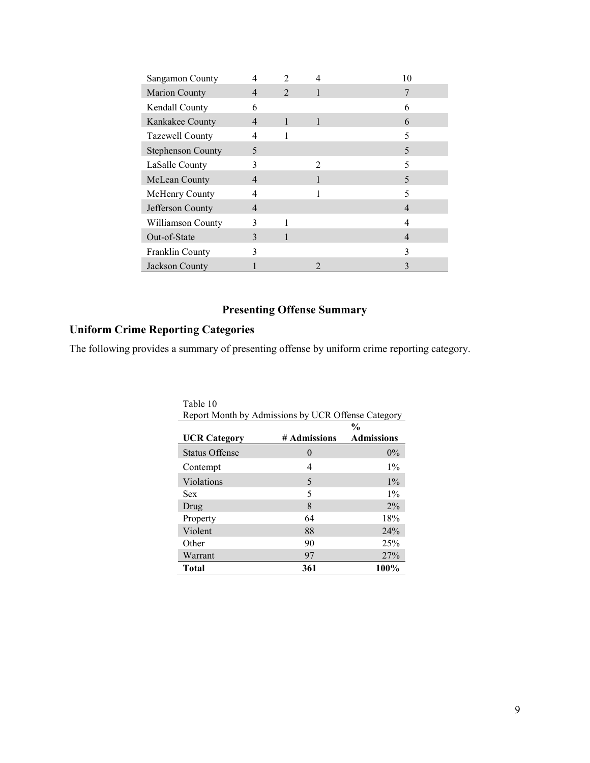| Sangamon County          |              |                             |              | 10 |
|--------------------------|--------------|-----------------------------|--------------|----|
| Marion County            | 4            | $\mathcal{D}_{\mathcal{L}}$ |              |    |
| Kendall County           | 6            |                             |              | 6  |
| Kankakee County          | 4            | 1                           | $\mathbf{1}$ | 6  |
| Tazewell County          |              |                             |              |    |
| <b>Stephenson County</b> | 5            |                             |              | 5  |
| LaSalle County           | 3            |                             | 2            | 5  |
| McLean County            | 4            |                             |              | 5  |
| McHenry County           | 4            |                             |              | 5  |
| Jefferson County         | 4            |                             |              | 4  |
| Williamson County        | 3            |                             |              |    |
| Out-of-State             | $\mathbf{3}$ |                             |              |    |
| Franklin County          | 3            |                             |              |    |
| Jackson County           |              |                             |              |    |

# **Presenting Offense Summary**

# **Uniform Crime Reporting Categories**

The following provides a summary of presenting offense by uniform crime reporting category.

| Table 10                                           |              |                   |  |  |  |
|----------------------------------------------------|--------------|-------------------|--|--|--|
| Report Month by Admissions by UCR Offense Category |              |                   |  |  |  |
|                                                    |              | $\frac{0}{0}$     |  |  |  |
| <b>UCR Category</b>                                | # Admissions | <b>Admissions</b> |  |  |  |
| <b>Status Offense</b>                              | $\theta$     | $0\%$             |  |  |  |
| Contempt                                           | 4            | $1\%$             |  |  |  |
| Violations                                         | 5            | $1\%$             |  |  |  |
| Sex                                                | 5            | $1\%$             |  |  |  |
| Drug                                               | 8            | $2\%$             |  |  |  |
| Property                                           | 64           | 18%               |  |  |  |
| Violent                                            | 88           | 24%               |  |  |  |
| Other                                              | 90           | 25%               |  |  |  |
| Warrant                                            | 97           | 27%               |  |  |  |
| <b>Total</b>                                       | 361          | 100%              |  |  |  |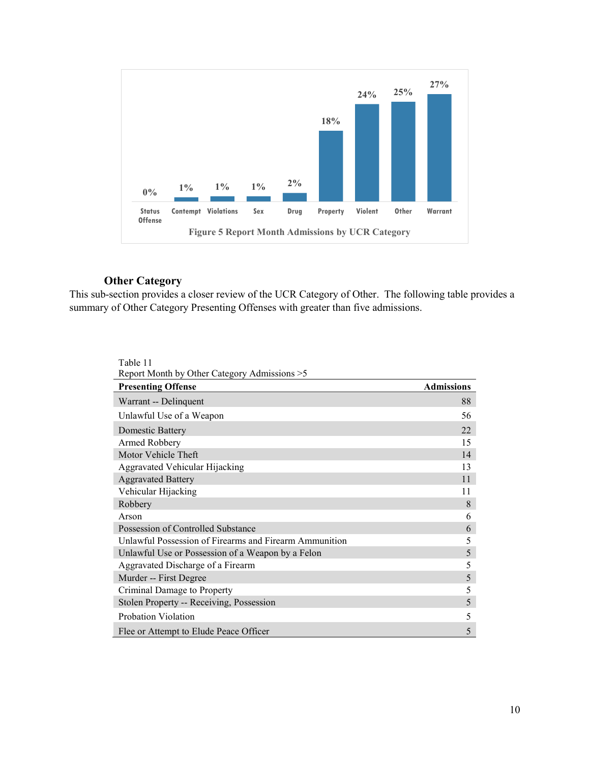

#### **Other Category**

This sub-section provides a closer review of the UCR Category of Other. The following table provides a summary of Other Category Presenting Offenses with greater than five admissions.

| Table 11                                               |                   |
|--------------------------------------------------------|-------------------|
| Report Month by Other Category Admissions > 5          |                   |
| <b>Presenting Offense</b>                              | <b>Admissions</b> |
| Warrant -- Delinquent                                  | 88                |
| Unlawful Use of a Weapon                               | 56                |
| <b>Domestic Battery</b>                                | 22                |
| Armed Robbery                                          | 15                |
| Motor Vehicle Theft                                    | 14                |
| Aggravated Vehicular Hijacking                         | 13                |
| <b>Aggravated Battery</b>                              | 11                |
| Vehicular Hijacking                                    | 11                |
| Robbery                                                | 8                 |
| Arson                                                  | 6                 |
| Possession of Controlled Substance                     | 6                 |
| Unlawful Possession of Firearms and Firearm Ammunition | 5                 |
| Unlawful Use or Possession of a Weapon by a Felon      | 5                 |
| Aggravated Discharge of a Firearm                      | 5                 |
| Murder -- First Degree                                 | 5                 |
| Criminal Damage to Property                            | 5                 |
| Stolen Property -- Receiving, Possession               | 5                 |
| Probation Violation                                    | 5                 |
| Flee or Attempt to Elude Peace Officer                 | 5                 |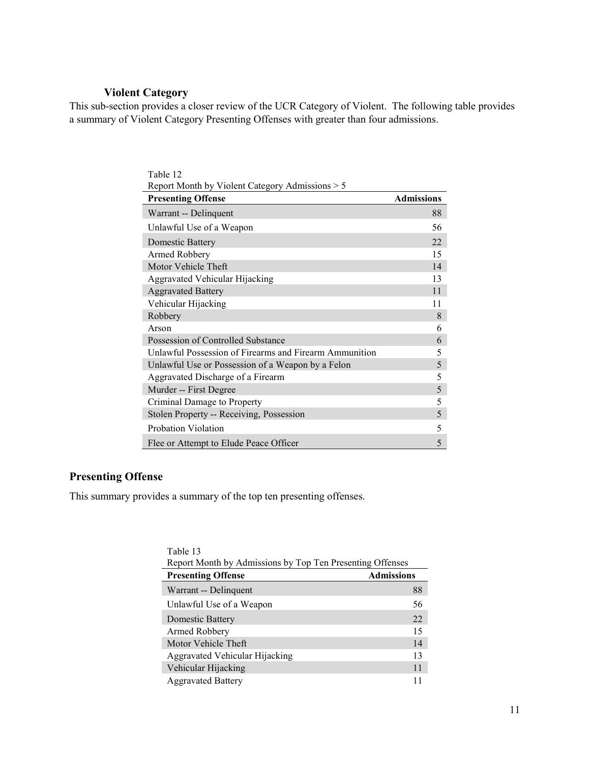# **Violent Category**

This sub-section provides a closer review of the UCR Category of Violent. The following table provides a summary of Violent Category Presenting Offenses with greater than four admissions.

| Table 12                                               |                   |
|--------------------------------------------------------|-------------------|
| Report Month by Violent Category Admissions > 5        |                   |
| <b>Presenting Offense</b>                              | <b>Admissions</b> |
| Warrant -- Delinquent                                  | 88                |
| Unlawful Use of a Weapon                               | 56                |
| Domestic Battery                                       | 22                |
| Armed Robbery                                          | 15                |
| Motor Vehicle Theft                                    | 14                |
| Aggravated Vehicular Hijacking                         | 13                |
| <b>Aggravated Battery</b>                              | 11                |
| Vehicular Hijacking                                    | 11                |
| Robbery                                                | 8                 |
| Arson                                                  | 6                 |
| Possession of Controlled Substance                     | 6                 |
| Unlawful Possession of Firearms and Firearm Ammunition | 5                 |
| Unlawful Use or Possession of a Weapon by a Felon      | 5                 |
| Aggravated Discharge of a Firearm                      | 5                 |
| Murder -- First Degree                                 | 5                 |
| Criminal Damage to Property                            | 5                 |
| Stolen Property -- Receiving, Possession               | 5                 |
| Probation Violation                                    | 5                 |
| Flee or Attempt to Elude Peace Officer                 | 5                 |

#### **Presenting Offense**

This summary provides a summary of the top ten presenting offenses.

| Table 13                                                  |                   |
|-----------------------------------------------------------|-------------------|
| Report Month by Admissions by Top Ten Presenting Offenses |                   |
| <b>Presenting Offense</b>                                 | <b>Admissions</b> |
| Warrant -- Delinquent                                     | 88                |
| Unlawful Use of a Weapon                                  | 56                |
| Domestic Battery                                          | 22.               |
| Armed Robbery                                             | 15                |
| Motor Vehicle Theft                                       | 14                |
| Aggravated Vehicular Hijacking                            | 13                |
| Vehicular Hijacking                                       | 11                |
| <b>Aggravated Battery</b>                                 |                   |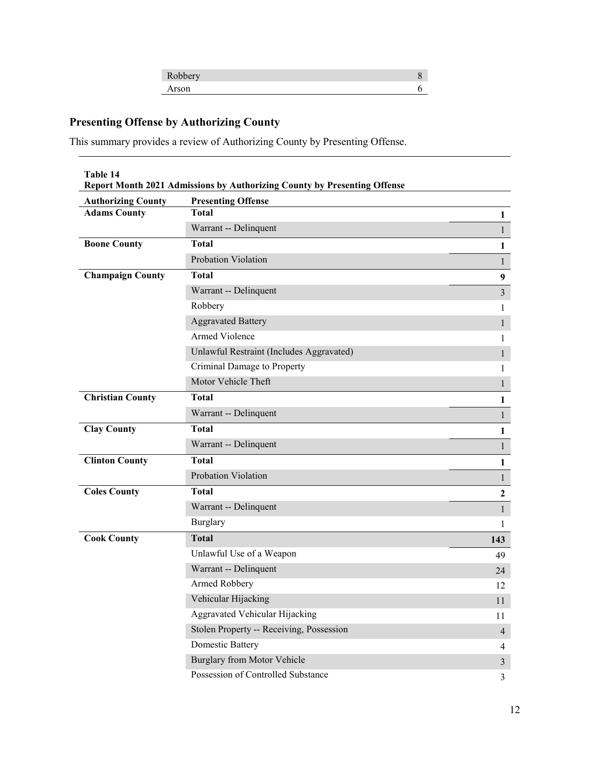| $\epsilon$<br>100001 |  |
|----------------------|--|
|                      |  |

# **Presenting Offense by Authorizing County**

This summary provides a review of Authorizing County by Presenting Offense.

**Table 14 Report Month 2021 Admissions by Authorizing County by Presenting Offense**

| <b>Authorizing County</b> | <b>Presenting Offense</b>                |                  |
|---------------------------|------------------------------------------|------------------|
| <b>Adams County</b>       | <b>Total</b>                             | 1                |
|                           | Warrant -- Delinquent                    | $\mathbf{1}$     |
| <b>Boone County</b>       | <b>Total</b>                             | $\mathbf{1}$     |
|                           | Probation Violation                      | $\mathbf{1}$     |
| <b>Champaign County</b>   | <b>Total</b>                             | $\boldsymbol{9}$ |
|                           | Warrant -- Delinquent                    | $\overline{3}$   |
|                           | Robbery                                  | 1                |
|                           | <b>Aggravated Battery</b>                | $\mathbf{1}$     |
|                           | <b>Armed Violence</b>                    | 1                |
|                           | Unlawful Restraint (Includes Aggravated) | $\mathbf{1}$     |
|                           | Criminal Damage to Property              | $\mathbf{1}$     |
|                           | Motor Vehicle Theft                      | $\mathbf{1}$     |
| <b>Christian County</b>   | <b>Total</b>                             | $\mathbf{1}$     |
|                           | Warrant -- Delinquent                    | $\mathbf{1}$     |
| <b>Clay County</b>        | <b>Total</b>                             | $\mathbf{1}$     |
|                           | Warrant -- Delinquent                    | $\mathbf{1}$     |
| <b>Clinton County</b>     | <b>Total</b>                             | 1                |
|                           | Probation Violation                      | $\mathbf{1}$     |
| <b>Coles County</b>       | <b>Total</b>                             | $\overline{2}$   |
|                           | Warrant -- Delinquent                    | $\mathbf{1}$     |
|                           | <b>Burglary</b>                          | 1                |
| <b>Cook County</b>        | <b>Total</b>                             | 143              |
|                           | Unlawful Use of a Weapon                 | 49               |
|                           | Warrant -- Delinquent                    | 24               |
|                           | Armed Robbery                            | 12               |
|                           | Vehicular Hijacking                      | 11               |
|                           | Aggravated Vehicular Hijacking           | 11               |
|                           | Stolen Property -- Receiving, Possession | $\overline{4}$   |
|                           | <b>Domestic Battery</b>                  | 4                |
|                           | Burglary from Motor Vehicle              | $\overline{3}$   |
|                           | Possession of Controlled Substance       | 3                |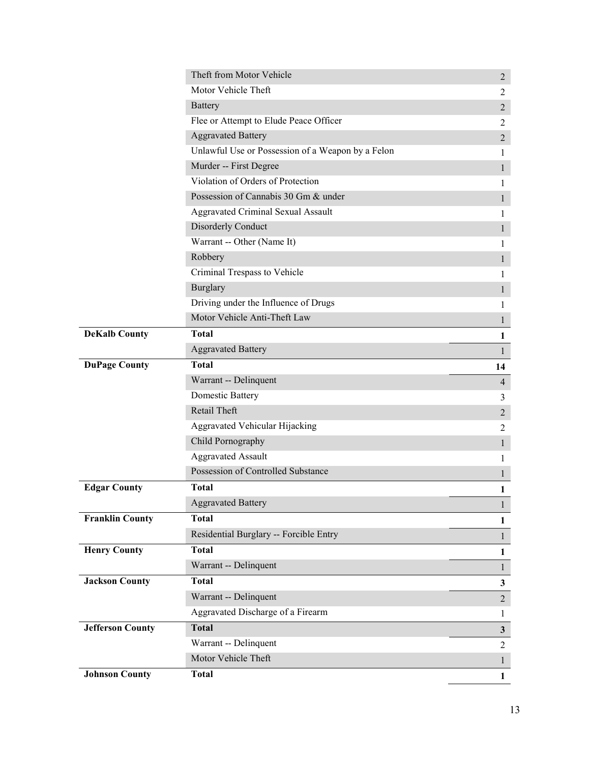|                         | Theft from Motor Vehicle                          | $\overline{2}$ |
|-------------------------|---------------------------------------------------|----------------|
|                         | Motor Vehicle Theft                               | $\overline{2}$ |
|                         | <b>Battery</b>                                    | $\overline{2}$ |
|                         | Flee or Attempt to Elude Peace Officer            | 2              |
|                         | <b>Aggravated Battery</b>                         | $\sqrt{2}$     |
|                         | Unlawful Use or Possession of a Weapon by a Felon | 1              |
|                         | Murder -- First Degree                            | $\mathbf{1}$   |
|                         | Violation of Orders of Protection                 | 1              |
|                         | Possession of Cannabis 30 Gm & under              | $\mathbf{1}$   |
|                         | Aggravated Criminal Sexual Assault                | 1              |
|                         | Disorderly Conduct                                | 1              |
|                         | Warrant -- Other (Name It)                        | 1              |
|                         | Robbery                                           | $\mathbf{1}$   |
|                         | Criminal Trespass to Vehicle                      | 1              |
|                         | <b>Burglary</b>                                   | $\mathbf{1}$   |
|                         | Driving under the Influence of Drugs              | 1              |
|                         | Motor Vehicle Anti-Theft Law                      | 1              |
| <b>DeKalb County</b>    | <b>Total</b>                                      | $\mathbf{1}$   |
|                         | <b>Aggravated Battery</b>                         | $\mathbf{1}$   |
| <b>DuPage County</b>    | <b>Total</b>                                      | 14             |
|                         | Warrant -- Delinquent                             | $\overline{4}$ |
|                         | <b>Domestic Battery</b>                           | 3              |
|                         | Retail Theft                                      | $\overline{2}$ |
|                         | Aggravated Vehicular Hijacking                    | 2              |
|                         | Child Pornography                                 | 1              |
|                         | <b>Aggravated Assault</b>                         | 1              |
|                         | Possession of Controlled Substance                | $\mathbf{1}$   |
| <b>Edgar County</b>     | <b>Total</b>                                      | 1              |
|                         | <b>Aggravated Battery</b>                         | $\mathbf{I}$   |
| <b>Franklin County</b>  | <b>Total</b>                                      | $\mathbf{1}$   |
|                         | Residential Burglary -- Forcible Entry            | $\mathbf{1}$   |
| <b>Henry County</b>     | <b>Total</b>                                      | $\mathbf{1}$   |
|                         | Warrant -- Delinquent                             | $\mathbf{1}$   |
| <b>Jackson County</b>   | <b>Total</b>                                      | $\mathbf{3}$   |
|                         | Warrant -- Delinquent                             | $\overline{2}$ |
|                         | Aggravated Discharge of a Firearm                 | 1              |
| <b>Jefferson County</b> | <b>Total</b>                                      | $\mathbf{3}$   |
|                         | Warrant -- Delinquent                             | $\overline{2}$ |
|                         | Motor Vehicle Theft                               | $\mathbf{1}$   |
| <b>Johnson County</b>   | <b>Total</b>                                      | $\mathbf{1}$   |
|                         |                                                   |                |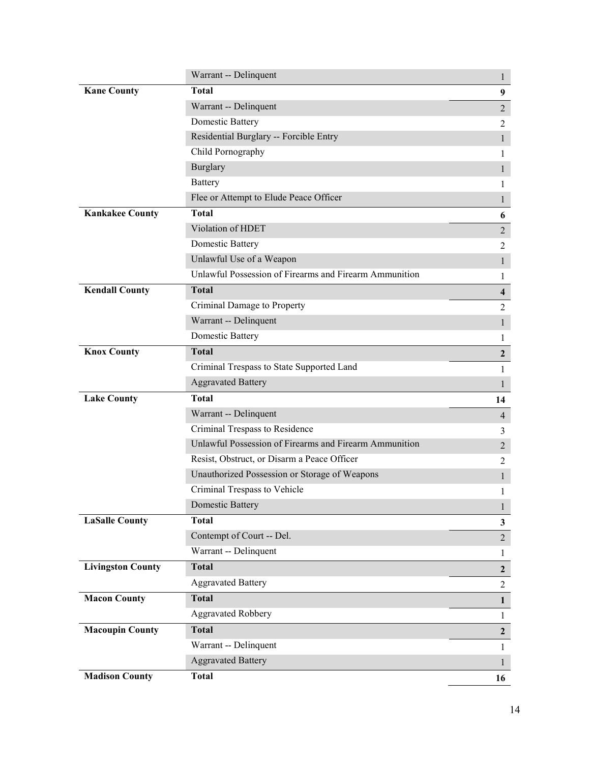|                          | Warrant -- Delinquent                                  | $\mathbf{1}$   |
|--------------------------|--------------------------------------------------------|----------------|
| <b>Kane County</b>       | <b>Total</b>                                           | 9              |
|                          | Warrant -- Delinquent                                  | $\overline{2}$ |
|                          | <b>Domestic Battery</b>                                | 2              |
|                          | Residential Burglary -- Forcible Entry                 | $\mathbf{1}$   |
|                          | Child Pornography                                      | 1              |
|                          | <b>Burglary</b>                                        | 1              |
|                          | Battery                                                | 1              |
|                          | Flee or Attempt to Elude Peace Officer                 | 1              |
| <b>Kankakee County</b>   | <b>Total</b>                                           | 6              |
|                          | Violation of HDET                                      | $\overline{2}$ |
|                          | Domestic Battery                                       | $\overline{2}$ |
|                          | Unlawful Use of a Weapon                               | $\mathbf{1}$   |
|                          | Unlawful Possession of Firearms and Firearm Ammunition | 1              |
| <b>Kendall County</b>    | <b>Total</b>                                           | 4              |
|                          | Criminal Damage to Property                            | 2              |
|                          | Warrant -- Delinquent                                  | $\mathbf{1}$   |
|                          | Domestic Battery                                       | 1              |
| <b>Knox County</b>       | <b>Total</b>                                           | $\mathbf{2}$   |
|                          | Criminal Trespass to State Supported Land              | 1              |
|                          |                                                        |                |
|                          | <b>Aggravated Battery</b>                              | 1              |
| <b>Lake County</b>       | <b>Total</b>                                           | 14             |
|                          | Warrant -- Delinquent                                  | $\overline{4}$ |
|                          | Criminal Trespass to Residence                         | 3              |
|                          | Unlawful Possession of Firearms and Firearm Ammunition | $\overline{2}$ |
|                          | Resist, Obstruct, or Disarm a Peace Officer            | $\overline{2}$ |
|                          | Unauthorized Possession or Storage of Weapons          | 1              |
|                          | Criminal Trespass to Vehicle                           | 1              |
|                          | <b>Domestic Battery</b>                                | $\mathbf{1}$   |
| <b>LaSalle County</b>    | <b>Total</b>                                           | $\mathbf{3}$   |
|                          | Contempt of Court -- Del.                              | $\overline{2}$ |
|                          | Warrant -- Delinquent                                  | 1              |
| <b>Livingston County</b> | <b>Total</b>                                           | $\mathbf{2}$   |
|                          | <b>Aggravated Battery</b>                              | $\overline{2}$ |
| <b>Macon County</b>      | <b>Total</b>                                           | $\mathbf{1}$   |
|                          | <b>Aggravated Robbery</b>                              | $\mathbf{1}$   |
| <b>Macoupin County</b>   | <b>Total</b>                                           | $\mathbf{2}$   |
|                          | Warrant -- Delinquent                                  | 1              |
|                          | <b>Aggravated Battery</b>                              | $\mathbf{1}$   |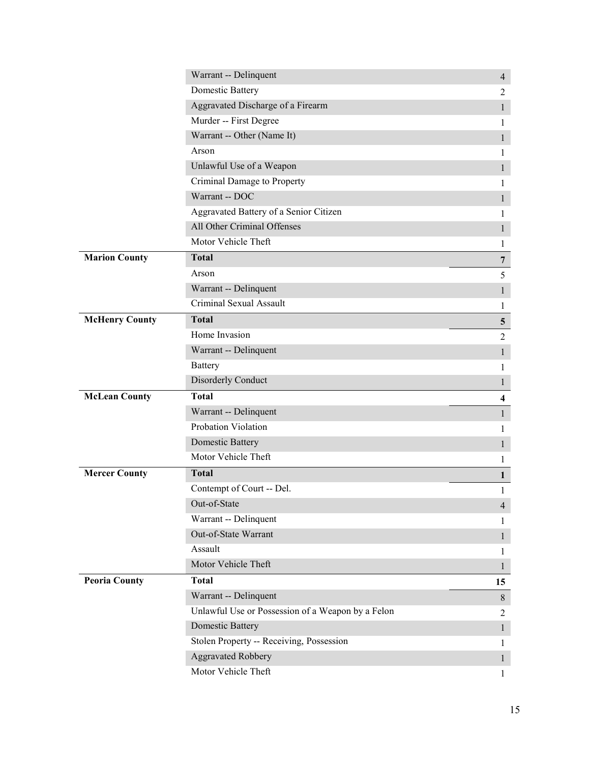|                       | Warrant -- Delinquent                             | $\overline{4}$          |
|-----------------------|---------------------------------------------------|-------------------------|
|                       | <b>Domestic Battery</b>                           | 2                       |
|                       | Aggravated Discharge of a Firearm                 | $\mathbf{1}$            |
|                       | Murder -- First Degree                            | L                       |
|                       | Warrant -- Other (Name It)                        | $\mathbf{1}$            |
|                       | Arson                                             | 1                       |
|                       | Unlawful Use of a Weapon                          | 1                       |
|                       | Criminal Damage to Property                       | 1                       |
|                       | Warrant -- DOC                                    | $\mathbf{1}$            |
|                       | Aggravated Battery of a Senior Citizen            | 1                       |
|                       | All Other Criminal Offenses                       | 1                       |
|                       | Motor Vehicle Theft                               | 1                       |
| <b>Marion County</b>  | <b>Total</b>                                      | $\overline{7}$          |
|                       | Arson                                             | 5                       |
|                       | Warrant -- Delinquent                             | $\mathbf{1}$            |
|                       | Criminal Sexual Assault                           | 1                       |
| <b>McHenry County</b> | <b>Total</b>                                      | $5\phantom{.0}$         |
|                       | Home Invasion                                     | $\overline{2}$          |
|                       | Warrant -- Delinquent                             | $\mathbf{1}$            |
|                       | <b>Battery</b>                                    | 1                       |
|                       | Disorderly Conduct                                | $\mathbf{1}$            |
| <b>McLean County</b>  | <b>Total</b>                                      | $\overline{\mathbf{4}}$ |
|                       | Warrant -- Delinquent                             | $\mathbf{1}$            |
|                       | Probation Violation                               | 1                       |
|                       | Domestic Battery                                  | 1                       |
|                       | Motor Vehicle Theft                               | 1                       |
| <b>Mercer County</b>  | <b>Total</b>                                      | $\mathbf{1}$            |
|                       | Contempt of Court -- Del.                         | 1                       |
|                       | Out-of-State                                      | 4                       |
|                       | Warrant -- Delinquent                             | L                       |
|                       | Out-of-State Warrant                              | $\mathbf{1}$            |
|                       |                                                   |                         |
|                       | Assault                                           | 1                       |
|                       | Motor Vehicle Theft                               | $\mathbf{1}$            |
| <b>Peoria County</b>  | <b>Total</b>                                      | 15                      |
|                       | Warrant -- Delinquent                             | 8                       |
|                       | Unlawful Use or Possession of a Weapon by a Felon | 2                       |
|                       | <b>Domestic Battery</b>                           | $\mathbf{1}$            |
|                       | Stolen Property -- Receiving, Possession          | 1                       |
|                       | <b>Aggravated Robbery</b>                         | $\mathbf{1}$            |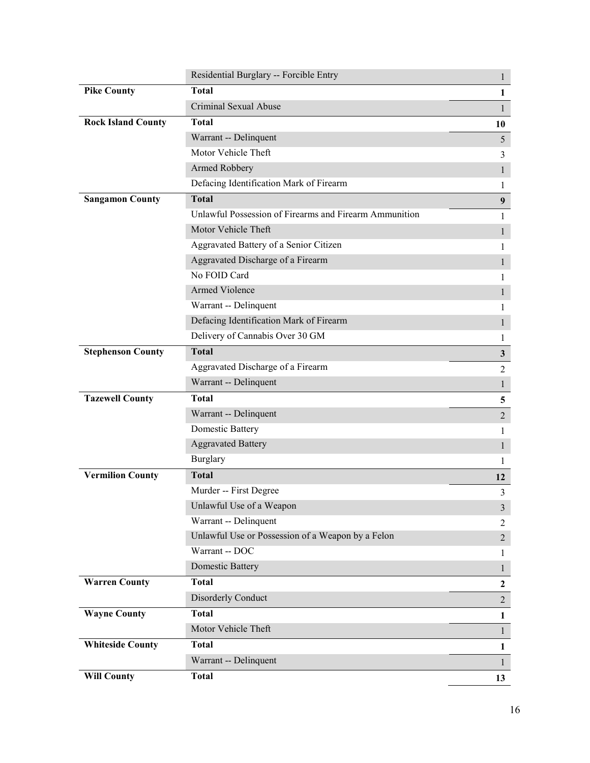|                           | Residential Burglary -- Forcible Entry                 | $\mathbf{1}$     |
|---------------------------|--------------------------------------------------------|------------------|
| <b>Pike County</b>        | <b>Total</b>                                           | $\mathbf{1}$     |
|                           | Criminal Sexual Abuse                                  | $\mathbf{1}$     |
| <b>Rock Island County</b> | <b>Total</b>                                           | 10               |
|                           | Warrant -- Delinquent                                  | $5\overline{)}$  |
|                           | Motor Vehicle Theft                                    | 3                |
|                           | Armed Robbery                                          | $\mathbf{1}$     |
|                           | Defacing Identification Mark of Firearm                | 1                |
| <b>Sangamon County</b>    | <b>Total</b>                                           | 9                |
|                           | Unlawful Possession of Firearms and Firearm Ammunition | 1                |
|                           | Motor Vehicle Theft                                    | $\mathbf{1}$     |
|                           | Aggravated Battery of a Senior Citizen                 | 1                |
|                           | Aggravated Discharge of a Firearm                      | 1                |
|                           | No FOID Card                                           | 1                |
|                           | Armed Violence                                         | $\mathbf{1}$     |
|                           | Warrant -- Delinquent                                  | 1                |
|                           | Defacing Identification Mark of Firearm                | $\mathbf{1}$     |
|                           | Delivery of Cannabis Over 30 GM                        | 1                |
| <b>Stephenson County</b>  | <b>Total</b>                                           | $\mathbf{3}$     |
|                           | Aggravated Discharge of a Firearm                      | $\overline{2}$   |
|                           | Warrant -- Delinquent                                  | $\mathbf{1}$     |
| <b>Tazewell County</b>    | <b>Total</b>                                           | 5                |
|                           | Warrant -- Delinquent                                  | $\overline{2}$   |
|                           | Domestic Battery                                       | 1                |
|                           | <b>Aggravated Battery</b>                              | $\mathbf{1}$     |
|                           | <b>Burglary</b>                                        | 1                |
| <b>Vermilion County</b>   | <b>Total</b>                                           | 12               |
|                           | Murder -- First Degree                                 | 3                |
|                           | Unlawful Use of a Weapon                               | $\mathfrak{Z}$   |
|                           | Warrant -- Delinquent                                  | 2                |
|                           | Unlawful Use or Possession of a Weapon by a Felon      | $\overline{2}$   |
|                           | Warrant -- DOC                                         | $\mathbf{1}$     |
|                           | <b>Domestic Battery</b>                                | $\mathbf{1}$     |
| <b>Warren County</b>      | Total                                                  | $\boldsymbol{2}$ |
|                           | Disorderly Conduct                                     | $\overline{2}$   |
| <b>Wayne County</b>       | <b>Total</b>                                           | $\mathbf{1}$     |
|                           | Motor Vehicle Theft                                    | $\mathbf{1}$     |
| <b>Whiteside County</b>   | <b>Total</b>                                           | $\mathbf{1}$     |
|                           | Warrant -- Delinquent                                  | $\mathbf{1}$     |
| <b>Will County</b>        | <b>Total</b>                                           | 13               |